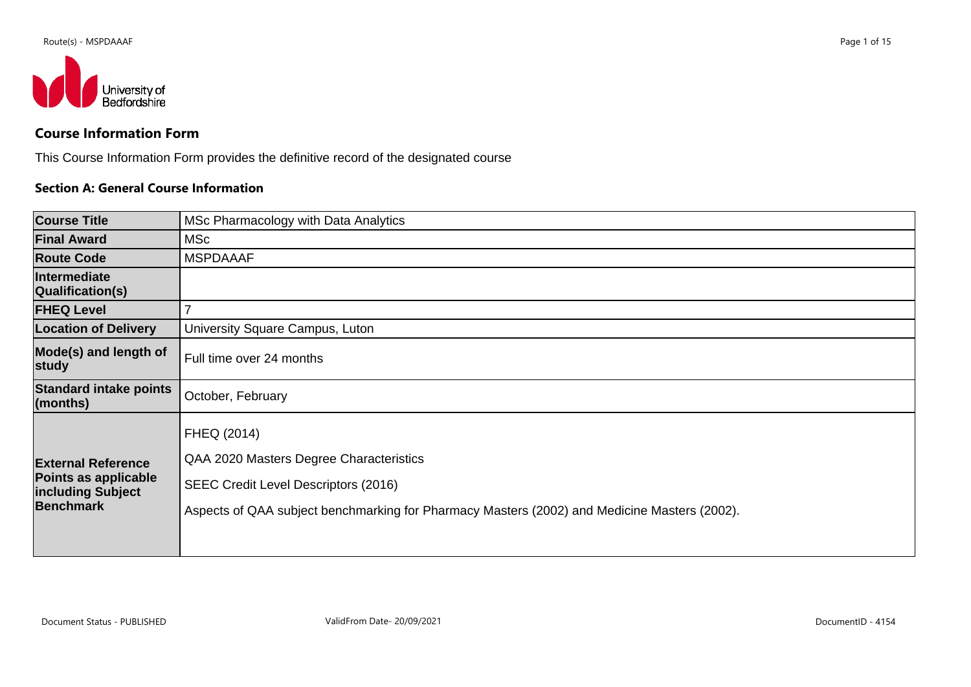



# **Course Information Form**

This Course Information Form provides the definitive record of the designated course

### **Section A: General Course Information**

| <b>Course Title</b>                                                                        | MSc Pharmacology with Data Analytics                                                                                                                                                           |
|--------------------------------------------------------------------------------------------|------------------------------------------------------------------------------------------------------------------------------------------------------------------------------------------------|
| <b>Final Award</b>                                                                         | <b>MSc</b>                                                                                                                                                                                     |
| <b>Route Code</b>                                                                          | <b>MSPDAAAF</b>                                                                                                                                                                                |
| Intermediate<br>Qualification(s)                                                           |                                                                                                                                                                                                |
| <b>FHEQ Level</b>                                                                          |                                                                                                                                                                                                |
| <b>Location of Delivery</b>                                                                | University Square Campus, Luton                                                                                                                                                                |
| Mode(s) and length of<br>study                                                             | Full time over 24 months                                                                                                                                                                       |
| <b>Standard intake points</b><br>(months)                                                  | October, February                                                                                                                                                                              |
| <b>External Reference</b><br>Points as applicable<br>including Subject<br><b>Benchmark</b> | FHEQ (2014)<br>QAA 2020 Masters Degree Characteristics<br>SEEC Credit Level Descriptors (2016)<br>Aspects of QAA subject benchmarking for Pharmacy Masters (2002) and Medicine Masters (2002). |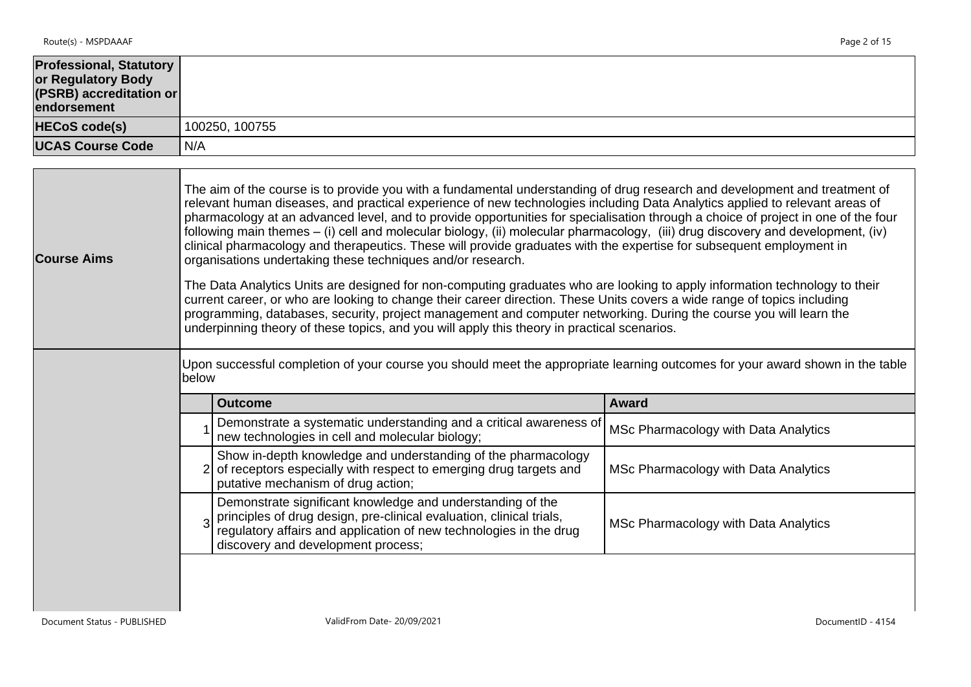| <b>Professional, Statutory</b><br>or Regulatory Body<br>(PSRB) accreditation or<br>endorsement |       |                                                                                                                                                                                                                                                                                                                                                                                                                                                                                                                                                                                                                                                                                                                                                                                                                                                                                                                                                                                                                                                                                                                                                                                                                                                                                                                                          |                                             |
|------------------------------------------------------------------------------------------------|-------|------------------------------------------------------------------------------------------------------------------------------------------------------------------------------------------------------------------------------------------------------------------------------------------------------------------------------------------------------------------------------------------------------------------------------------------------------------------------------------------------------------------------------------------------------------------------------------------------------------------------------------------------------------------------------------------------------------------------------------------------------------------------------------------------------------------------------------------------------------------------------------------------------------------------------------------------------------------------------------------------------------------------------------------------------------------------------------------------------------------------------------------------------------------------------------------------------------------------------------------------------------------------------------------------------------------------------------------|---------------------------------------------|
| <b>HECoS code(s)</b>                                                                           |       | 100250, 100755                                                                                                                                                                                                                                                                                                                                                                                                                                                                                                                                                                                                                                                                                                                                                                                                                                                                                                                                                                                                                                                                                                                                                                                                                                                                                                                           |                                             |
| <b>UCAS Course Code</b>                                                                        | N/A   |                                                                                                                                                                                                                                                                                                                                                                                                                                                                                                                                                                                                                                                                                                                                                                                                                                                                                                                                                                                                                                                                                                                                                                                                                                                                                                                                          |                                             |
| <b>Course Aims</b>                                                                             |       | The aim of the course is to provide you with a fundamental understanding of drug research and development and treatment of<br>relevant human diseases, and practical experience of new technologies including Data Analytics applied to relevant areas of<br>pharmacology at an advanced level, and to provide opportunities for specialisation through a choice of project in one of the four<br>following main themes - (i) cell and molecular biology, (ii) molecular pharmacology, (iii) drug discovery and development, (iv)<br>clinical pharmacology and therapeutics. These will provide graduates with the expertise for subsequent employment in<br>organisations undertaking these techniques and/or research.<br>The Data Analytics Units are designed for non-computing graduates who are looking to apply information technology to their<br>current career, or who are looking to change their career direction. These Units covers a wide range of topics including<br>programming, databases, security, project management and computer networking. During the course you will learn the<br>underpinning theory of these topics, and you will apply this theory in practical scenarios.<br>Upon successful completion of your course you should meet the appropriate learning outcomes for your award shown in the table |                                             |
|                                                                                                | below |                                                                                                                                                                                                                                                                                                                                                                                                                                                                                                                                                                                                                                                                                                                                                                                                                                                                                                                                                                                                                                                                                                                                                                                                                                                                                                                                          |                                             |
|                                                                                                |       | <b>Outcome</b>                                                                                                                                                                                                                                                                                                                                                                                                                                                                                                                                                                                                                                                                                                                                                                                                                                                                                                                                                                                                                                                                                                                                                                                                                                                                                                                           | <b>Award</b>                                |
|                                                                                                |       | Demonstrate a systematic understanding and a critical awareness of<br>new technologies in cell and molecular biology;                                                                                                                                                                                                                                                                                                                                                                                                                                                                                                                                                                                                                                                                                                                                                                                                                                                                                                                                                                                                                                                                                                                                                                                                                    | MSc Pharmacology with Data Analytics        |
|                                                                                                |       | Show in-depth knowledge and understanding of the pharmacology<br>of receptors especially with respect to emerging drug targets and<br>putative mechanism of drug action;                                                                                                                                                                                                                                                                                                                                                                                                                                                                                                                                                                                                                                                                                                                                                                                                                                                                                                                                                                                                                                                                                                                                                                 | MSc Pharmacology with Data Analytics        |
|                                                                                                |       | Demonstrate significant knowledge and understanding of the<br>principles of drug design, pre-clinical evaluation, clinical trials,<br>regulatory affairs and application of new technologies in the drug<br>discovery and development process;                                                                                                                                                                                                                                                                                                                                                                                                                                                                                                                                                                                                                                                                                                                                                                                                                                                                                                                                                                                                                                                                                           | <b>MSc Pharmacology with Data Analytics</b> |
|                                                                                                |       |                                                                                                                                                                                                                                                                                                                                                                                                                                                                                                                                                                                                                                                                                                                                                                                                                                                                                                                                                                                                                                                                                                                                                                                                                                                                                                                                          |                                             |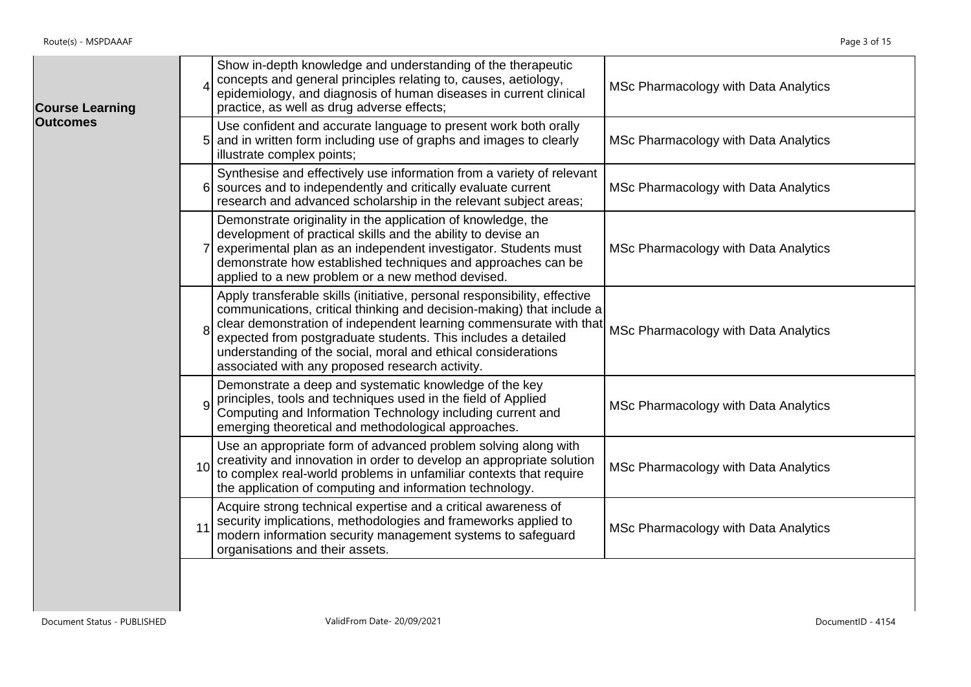| <b>Course Learning</b> |    | Show in-depth knowledge and understanding of the therapeutic<br>concepts and general principles relating to, causes, aetiology,<br>epidemiology, and diagnosis of human diseases in current clinical<br>practice, as well as drug adverse effects;                                                                                                                                                            | MSc Pharmacology with Data Analytics |
|------------------------|----|---------------------------------------------------------------------------------------------------------------------------------------------------------------------------------------------------------------------------------------------------------------------------------------------------------------------------------------------------------------------------------------------------------------|--------------------------------------|
| <b>Outcomes</b>        |    | Use confident and accurate language to present work both orally<br>5 and in written form including use of graphs and images to clearly<br>illustrate complex points;                                                                                                                                                                                                                                          | MSc Pharmacology with Data Analytics |
|                        |    | Synthesise and effectively use information from a variety of relevant<br>6 sources and to independently and critically evaluate current<br>research and advanced scholarship in the relevant subject areas;                                                                                                                                                                                                   | MSc Pharmacology with Data Analytics |
|                        |    | Demonstrate originality in the application of knowledge, the<br>development of practical skills and the ability to devise an<br>experimental plan as an independent investigator. Students must<br>demonstrate how established techniques and approaches can be<br>applied to a new problem or a new method devised.                                                                                          | MSc Pharmacology with Data Analytics |
|                        |    | Apply transferable skills (initiative, personal responsibility, effective<br>communications, critical thinking and decision-making) that include a<br>clear demonstration of independent learning commensurate with that<br>expected from postgraduate students. This includes a detailed<br>understanding of the social, moral and ethical considerations<br>associated with any proposed research activity. | MSc Pharmacology with Data Analytics |
|                        |    | Demonstrate a deep and systematic knowledge of the key<br>principles, tools and techniques used in the field of Applied<br>Computing and Information Technology including current and<br>emerging theoretical and methodological approaches.                                                                                                                                                                  | MSc Pharmacology with Data Analytics |
|                        | 10 | Use an appropriate form of advanced problem solving along with<br>creativity and innovation in order to develop an appropriate solution<br>to complex real-world problems in unfamiliar contexts that require<br>the application of computing and information technology.                                                                                                                                     | MSc Pharmacology with Data Analytics |
|                        | 11 | Acquire strong technical expertise and a critical awareness of<br>security implications, methodologies and frameworks applied to<br>modern information security management systems to safeguard<br>organisations and their assets.                                                                                                                                                                            | MSc Pharmacology with Data Analytics |
|                        |    |                                                                                                                                                                                                                                                                                                                                                                                                               |                                      |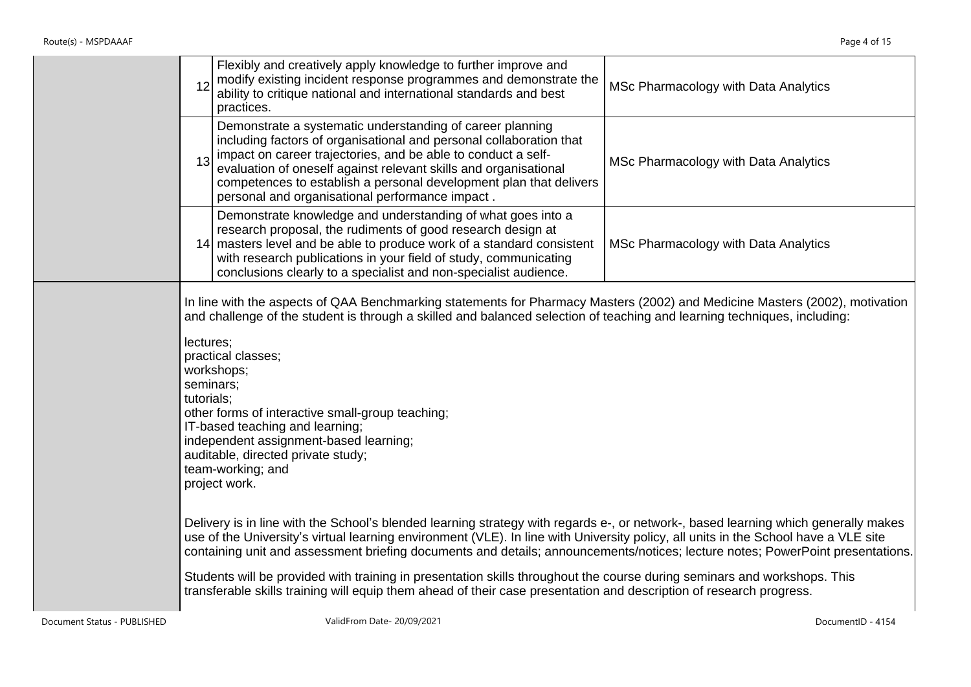| 12                                   | Flexibly and creatively apply knowledge to further improve and<br>modify existing incident response programmes and demonstrate the<br>ability to critique national and international standards and best<br>practices.                                                                                                                                                                                                                                                                                                                                                                                                                                                                                                                                                                                                                                                                                                   | MSc Pharmacology with Data Analytics |
|--------------------------------------|-------------------------------------------------------------------------------------------------------------------------------------------------------------------------------------------------------------------------------------------------------------------------------------------------------------------------------------------------------------------------------------------------------------------------------------------------------------------------------------------------------------------------------------------------------------------------------------------------------------------------------------------------------------------------------------------------------------------------------------------------------------------------------------------------------------------------------------------------------------------------------------------------------------------------|--------------------------------------|
| 13                                   | Demonstrate a systematic understanding of career planning<br>including factors of organisational and personal collaboration that<br>impact on career trajectories, and be able to conduct a self-<br>evaluation of oneself against relevant skills and organisational<br>competences to establish a personal development plan that delivers<br>personal and organisational performance impact.                                                                                                                                                                                                                                                                                                                                                                                                                                                                                                                          | MSc Pharmacology with Data Analytics |
|                                      | Demonstrate knowledge and understanding of what goes into a<br>research proposal, the rudiments of good research design at<br>14 masters level and be able to produce work of a standard consistent<br>with research publications in your field of study, communicating<br>conclusions clearly to a specialist and non-specialist audience.                                                                                                                                                                                                                                                                                                                                                                                                                                                                                                                                                                             | MSc Pharmacology with Data Analytics |
| lectures;<br>seminars;<br>tutorials; | In line with the aspects of QAA Benchmarking statements for Pharmacy Masters (2002) and Medicine Masters (2002), motivation<br>and challenge of the student is through a skilled and balanced selection of teaching and learning techniques, including:<br>practical classes;<br>workshops;<br>other forms of interactive small-group teaching;<br>IT-based teaching and learning;<br>independent assignment-based learning;<br>auditable, directed private study;<br>team-working; and<br>project work.<br>Delivery is in line with the School's blended learning strategy with regards e-, or network-, based learning which generally makes<br>use of the University's virtual learning environment (VLE). In line with University policy, all units in the School have a VLE site<br>containing unit and assessment briefing documents and details; announcements/notices; lecture notes; PowerPoint presentations. |                                      |
|                                      | Students will be provided with training in presentation skills throughout the course during seminars and workshops. This<br>transferable skills training will equip them ahead of their case presentation and description of research progress.                                                                                                                                                                                                                                                                                                                                                                                                                                                                                                                                                                                                                                                                         |                                      |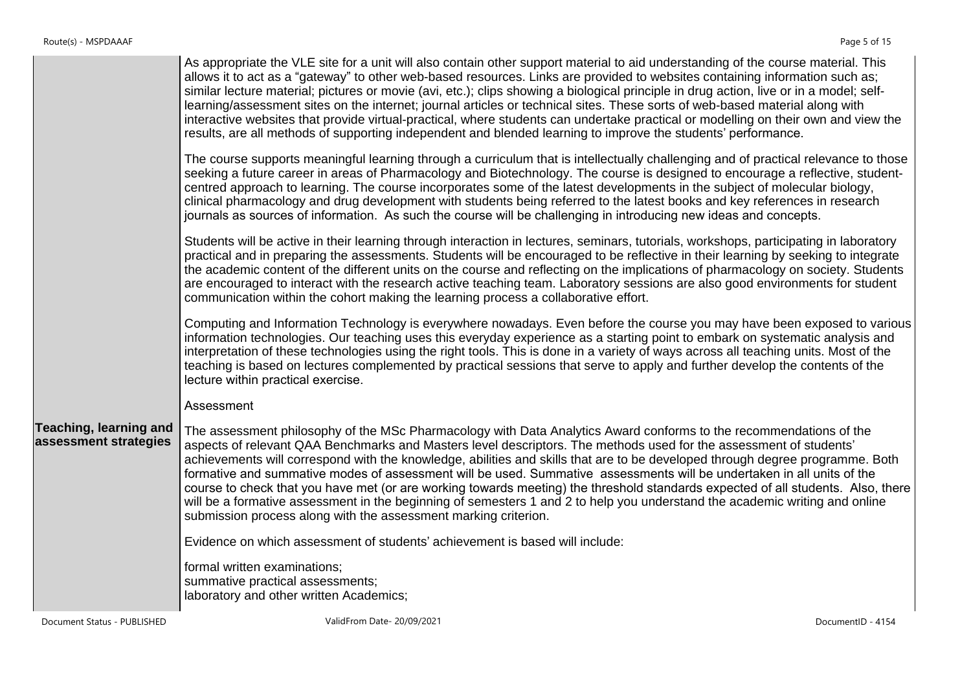|                                                 | As appropriate the VLE site for a unit will also contain other support material to aid understanding of the course material. This<br>allows it to act as a "gateway" to other web-based resources. Links are provided to websites containing information such as;<br>similar lecture material; pictures or movie (avi, etc.); clips showing a biological principle in drug action, live or in a model; self-<br>learning/assessment sites on the internet; journal articles or technical sites. These sorts of web-based material along with<br>interactive websites that provide virtual-practical, where students can undertake practical or modelling on their own and view the<br>results, are all methods of supporting independent and blended learning to improve the students' performance.                                       |
|-------------------------------------------------|-------------------------------------------------------------------------------------------------------------------------------------------------------------------------------------------------------------------------------------------------------------------------------------------------------------------------------------------------------------------------------------------------------------------------------------------------------------------------------------------------------------------------------------------------------------------------------------------------------------------------------------------------------------------------------------------------------------------------------------------------------------------------------------------------------------------------------------------|
|                                                 | The course supports meaningful learning through a curriculum that is intellectually challenging and of practical relevance to those<br>seeking a future career in areas of Pharmacology and Biotechnology. The course is designed to encourage a reflective, student-<br>centred approach to learning. The course incorporates some of the latest developments in the subject of molecular biology,<br>clinical pharmacology and drug development with students being referred to the latest books and key references in research<br>journals as sources of information. As such the course will be challenging in introducing new ideas and concepts.                                                                                                                                                                                    |
|                                                 | Students will be active in their learning through interaction in lectures, seminars, tutorials, workshops, participating in laboratory<br>practical and in preparing the assessments. Students will be encouraged to be reflective in their learning by seeking to integrate<br>the academic content of the different units on the course and reflecting on the implications of pharmacology on society. Students<br>are encouraged to interact with the research active teaching team. Laboratory sessions are also good environments for student<br>communication within the cohort making the learning process a collaborative effort.                                                                                                                                                                                                 |
|                                                 | Computing and Information Technology is everywhere nowadays. Even before the course you may have been exposed to various<br>information technologies. Our teaching uses this everyday experience as a starting point to embark on systematic analysis and<br>interpretation of these technologies using the right tools. This is done in a variety of ways across all teaching units. Most of the<br>teaching is based on lectures complemented by practical sessions that serve to apply and further develop the contents of the<br>lecture within practical exercise.                                                                                                                                                                                                                                                                   |
|                                                 | Assessment                                                                                                                                                                                                                                                                                                                                                                                                                                                                                                                                                                                                                                                                                                                                                                                                                                |
| Teaching, learning and<br>assessment strategies | The assessment philosophy of the MSc Pharmacology with Data Analytics Award conforms to the recommendations of the<br>aspects of relevant QAA Benchmarks and Masters level descriptors. The methods used for the assessment of students'<br>achievements will correspond with the knowledge, abilities and skills that are to be developed through degree programme. Both<br>formative and summative modes of assessment will be used. Summative assessments will be undertaken in all units of the<br>course to check that you have met (or are working towards meeting) the threshold standards expected of all students. Also, there<br>will be a formative assessment in the beginning of semesters 1 and 2 to help you understand the academic writing and online<br>submission process along with the assessment marking criterion. |
|                                                 | Evidence on which assessment of students' achievement is based will include:                                                                                                                                                                                                                                                                                                                                                                                                                                                                                                                                                                                                                                                                                                                                                              |
|                                                 | formal written examinations;<br>summative practical assessments;<br>laboratory and other written Academics;                                                                                                                                                                                                                                                                                                                                                                                                                                                                                                                                                                                                                                                                                                                               |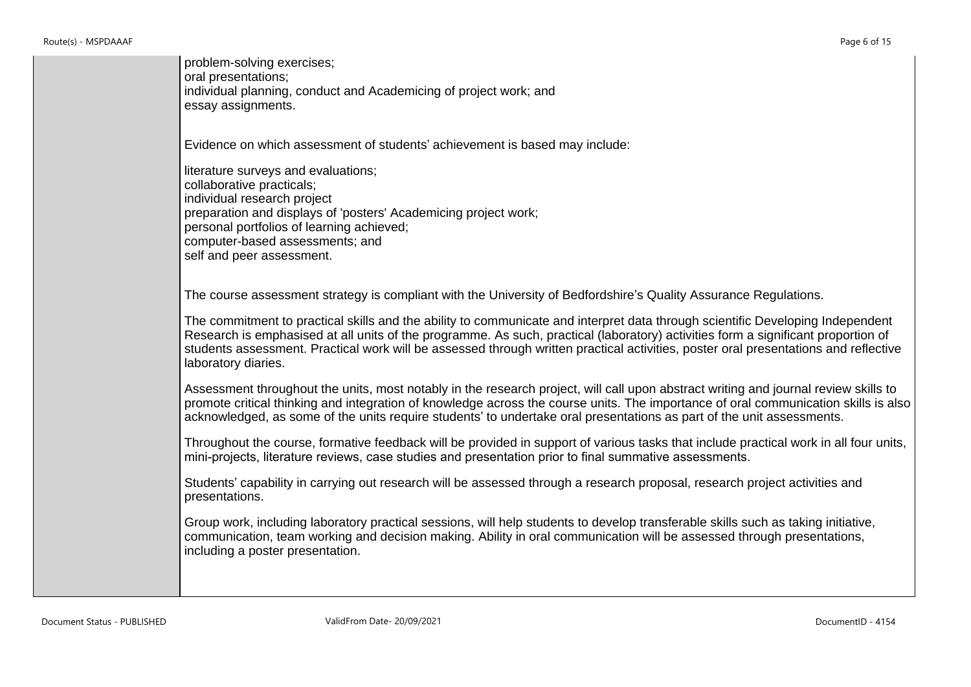| problem-solving exercises;<br>oral presentations;<br>individual planning, conduct and Academicing of project work; and<br>essay assignments.                                                                                                                                                                                                                                                                                      |  |
|-----------------------------------------------------------------------------------------------------------------------------------------------------------------------------------------------------------------------------------------------------------------------------------------------------------------------------------------------------------------------------------------------------------------------------------|--|
| Evidence on which assessment of students' achievement is based may include:<br>literature surveys and evaluations;                                                                                                                                                                                                                                                                                                                |  |
| collaborative practicals;<br>individual research project<br>preparation and displays of 'posters' Academicing project work;<br>personal portfolios of learning achieved;                                                                                                                                                                                                                                                          |  |
| computer-based assessments; and<br>self and peer assessment.                                                                                                                                                                                                                                                                                                                                                                      |  |
| The course assessment strategy is compliant with the University of Bedfordshire's Quality Assurance Regulations.                                                                                                                                                                                                                                                                                                                  |  |
| The commitment to practical skills and the ability to communicate and interpret data through scientific Developing Independent<br>Research is emphasised at all units of the programme. As such, practical (laboratory) activities form a significant proportion of<br>students assessment. Practical work will be assessed through written practical activities, poster oral presentations and reflective<br>laboratory diaries. |  |
| Assessment throughout the units, most notably in the research project, will call upon abstract writing and journal review skills to<br>promote critical thinking and integration of knowledge across the course units. The importance of oral communication skills is also<br>acknowledged, as some of the units require students' to undertake oral presentations as part of the unit assessments.                               |  |
| Throughout the course, formative feedback will be provided in support of various tasks that include practical work in all four units,<br>mini-projects, literature reviews, case studies and presentation prior to final summative assessments.                                                                                                                                                                                   |  |
| Students' capability in carrying out research will be assessed through a research proposal, research project activities and<br>presentations.                                                                                                                                                                                                                                                                                     |  |
| Group work, including laboratory practical sessions, will help students to develop transferable skills such as taking initiative,<br>communication, team working and decision making. Ability in oral communication will be assessed through presentations,<br>including a poster presentation.                                                                                                                                   |  |
|                                                                                                                                                                                                                                                                                                                                                                                                                                   |  |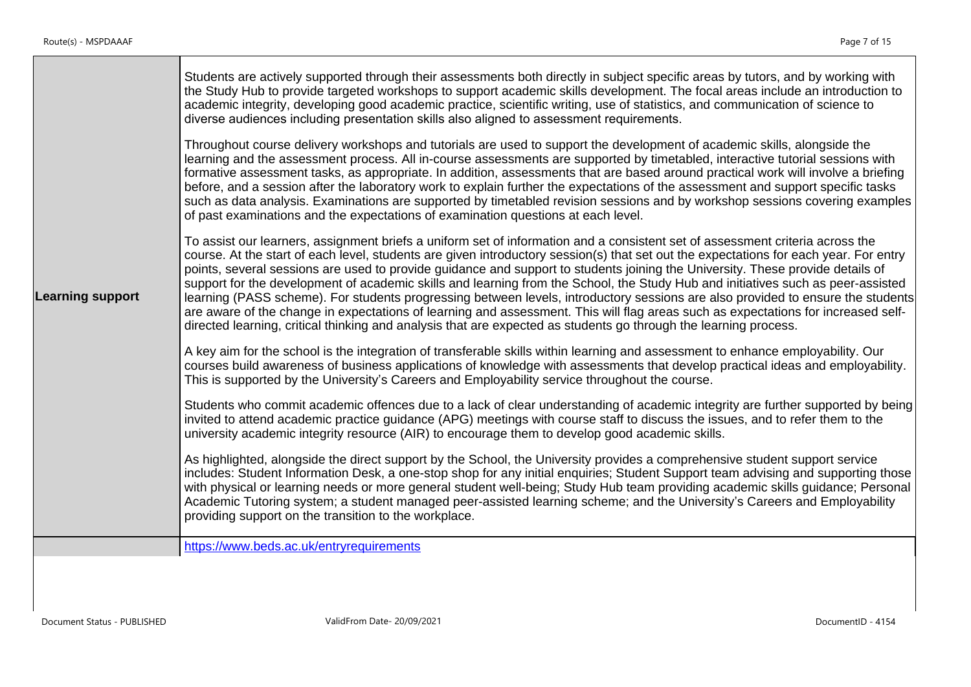|                         | Students are actively supported through their assessments both directly in subject specific areas by tutors, and by working with<br>the Study Hub to provide targeted workshops to support academic skills development. The focal areas include an introduction to<br>academic integrity, developing good academic practice, scientific writing, use of statistics, and communication of science to<br>diverse audiences including presentation skills also aligned to assessment requirements.                                                                                                                                                                                                                                                                                                                                                                                                                                          |
|-------------------------|------------------------------------------------------------------------------------------------------------------------------------------------------------------------------------------------------------------------------------------------------------------------------------------------------------------------------------------------------------------------------------------------------------------------------------------------------------------------------------------------------------------------------------------------------------------------------------------------------------------------------------------------------------------------------------------------------------------------------------------------------------------------------------------------------------------------------------------------------------------------------------------------------------------------------------------|
|                         | Throughout course delivery workshops and tutorials are used to support the development of academic skills, alongside the<br>learning and the assessment process. All in-course assessments are supported by timetabled, interactive tutorial sessions with<br>formative assessment tasks, as appropriate. In addition, assessments that are based around practical work will involve a briefing<br>before, and a session after the laboratory work to explain further the expectations of the assessment and support specific tasks<br>such as data analysis. Examinations are supported by timetabled revision sessions and by workshop sessions covering examples<br>of past examinations and the expectations of examination questions at each level.                                                                                                                                                                                 |
| <b>Learning support</b> | To assist our learners, assignment briefs a uniform set of information and a consistent set of assessment criteria across the<br>course. At the start of each level, students are given introductory session(s) that set out the expectations for each year. For entry<br>points, several sessions are used to provide guidance and support to students joining the University. These provide details of<br>support for the development of academic skills and learning from the School, the Study Hub and initiatives such as peer-assisted<br>learning (PASS scheme). For students progressing between levels, introductory sessions are also provided to ensure the students<br>are aware of the change in expectations of learning and assessment. This will flag areas such as expectations for increased self-<br>directed learning, critical thinking and analysis that are expected as students go through the learning process. |
|                         | A key aim for the school is the integration of transferable skills within learning and assessment to enhance employability. Our<br>courses build awareness of business applications of knowledge with assessments that develop practical ideas and employability.<br>This is supported by the University's Careers and Employability service throughout the course.                                                                                                                                                                                                                                                                                                                                                                                                                                                                                                                                                                      |
|                         | Students who commit academic offences due to a lack of clear understanding of academic integrity are further supported by being<br>invited to attend academic practice guidance (APG) meetings with course staff to discuss the issues, and to refer them to the<br>university academic integrity resource (AIR) to encourage them to develop good academic skills.                                                                                                                                                                                                                                                                                                                                                                                                                                                                                                                                                                      |
|                         | As highlighted, alongside the direct support by the School, the University provides a comprehensive student support service<br>includes: Student Information Desk, a one-stop shop for any initial enquiries; Student Support team advising and supporting those<br>with physical or learning needs or more general student well-being; Study Hub team providing academic skills guidance; Personal<br>Academic Tutoring system; a student managed peer-assisted learning scheme; and the University's Careers and Employability<br>providing support on the transition to the workplace.                                                                                                                                                                                                                                                                                                                                                |
|                         | https://www.beds.ac.uk/entryrequirements                                                                                                                                                                                                                                                                                                                                                                                                                                                                                                                                                                                                                                                                                                                                                                                                                                                                                                 |
|                         |                                                                                                                                                                                                                                                                                                                                                                                                                                                                                                                                                                                                                                                                                                                                                                                                                                                                                                                                          |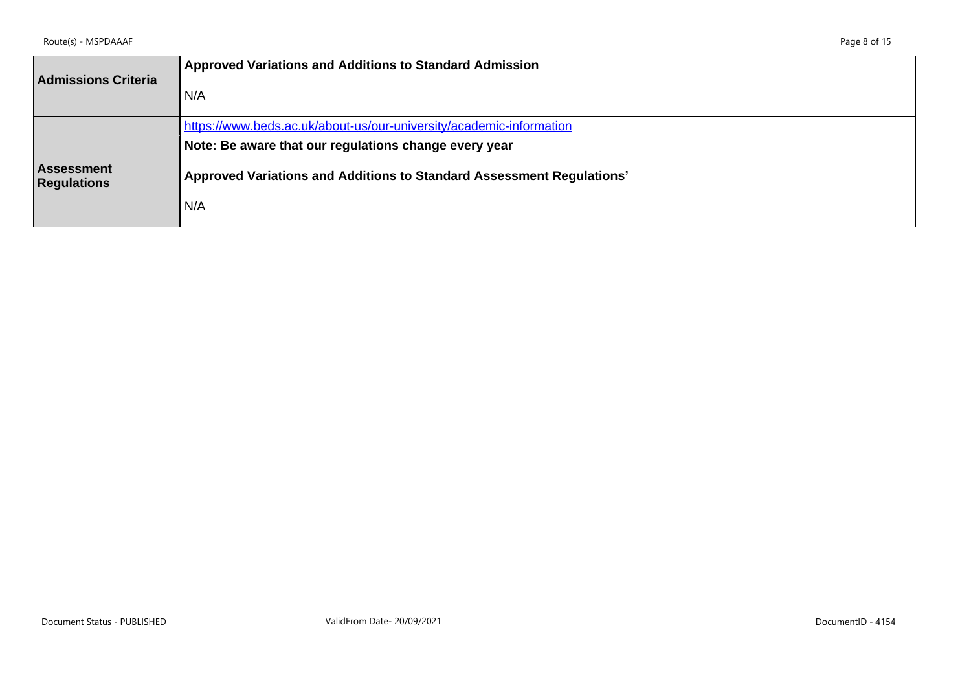| <b>Approved Variations and Additions to Standard Admission</b>        |
|-----------------------------------------------------------------------|
| N/A                                                                   |
| https://www.beds.ac.uk/about-us/our-university/academic-information   |
| Note: Be aware that our regulations change every year                 |
| Approved Variations and Additions to Standard Assessment Regulations' |
| N/A                                                                   |
|                                                                       |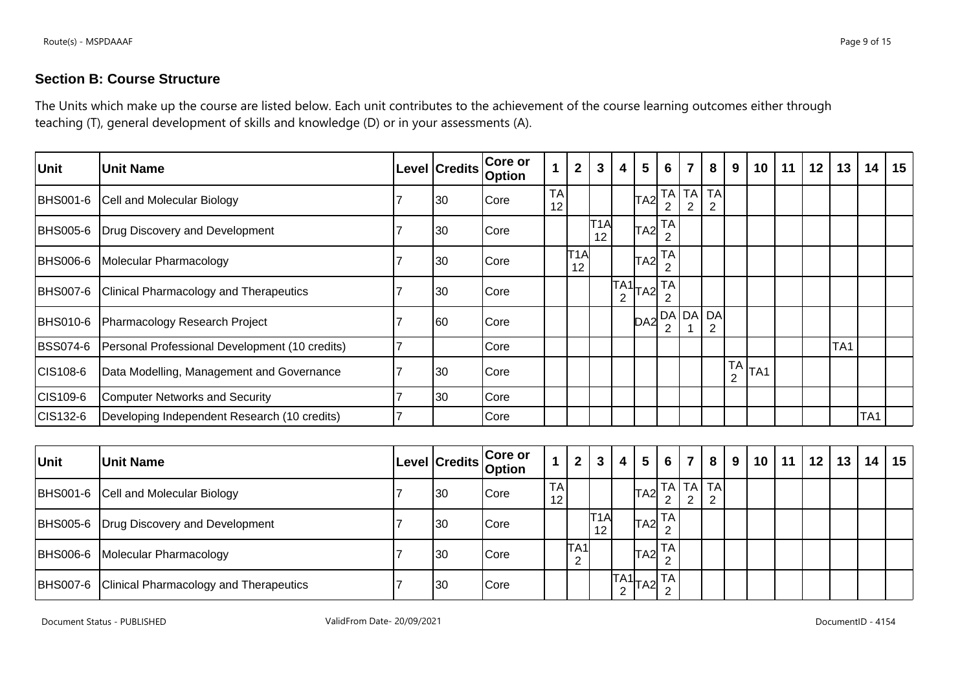### **Section B: Course Structure**

The Units which make up the course are listed below. Each unit contributes to the achievement of the course learning outcomes either through teaching (T), general development of skills and knowledge (D) or in your assessments (A).

| Unit            | lUnit Name                                     | Level Credits | Core or<br><b>Option</b> | $\mathbf{1}$    | $\overline{2}$ | $\overline{3}$ | $\overline{\mathbf{4}}$ | 5 <sup>1</sup>                          | 6 <sup>1</sup> | $\overline{7}$ | 8              | 9                      | 10 <sup>°</sup> | 11 | 12 | 13              | 14              | 15 |
|-----------------|------------------------------------------------|---------------|--------------------------|-----------------|----------------|----------------|-------------------------|-----------------------------------------|----------------|----------------|----------------|------------------------|-----------------|----|----|-----------------|-----------------|----|
|                 | BHS001-6 Cell and Molecular Biology            | 30            | Core                     | <b>TA</b><br>12 |                |                |                         | TA <sub>2</sub>                         |                | TA TA TA       |                |                        |                 |    |    |                 |                 |    |
|                 | BHS005-6   Drug Discovery and Development      | 30            | Core                     |                 |                | T1A<br>12      |                         | TA <sub>2</sub>                         | <b>TA</b>      |                |                |                        |                 |    |    |                 |                 |    |
| <b>BHS006-6</b> | Molecular Pharmacology                         | 30            | Core                     |                 | T1A<br>12      |                |                         | TA <sub>2</sub>                         | <b>TA</b>      |                |                |                        |                 |    |    |                 |                 |    |
| <b>BHS007-6</b> | <b>Clinical Pharmacology and Therapeutics</b>  | 30            | Core                     |                 |                |                | 2                       | $\widehat{\mathsf{TA1}}$ $\mathsf{TA2}$ | <b>TA</b>      |                |                |                        |                 |    |    |                 |                 |    |
| <b>BHS010-6</b> | Pharmacology Research Project                  | 60            | Core                     |                 |                |                |                         | DA2 DA DA DAI                           |                |                | $\overline{2}$ |                        |                 |    |    |                 |                 |    |
| <b>BSS074-6</b> | Personal Professional Development (10 credits) |               | Core                     |                 |                |                |                         |                                         |                |                |                |                        |                 |    |    | TA <sub>1</sub> |                 |    |
| CIS108-6        | Data Modelling, Management and Governance      | 30            | Core                     |                 |                |                |                         |                                         |                |                |                | TA  <br>$\overline{2}$ | TA <sub>1</sub> |    |    |                 |                 |    |
| CIS109-6        | Computer Networks and Security                 | 30            | Core                     |                 |                |                |                         |                                         |                |                |                |                        |                 |    |    |                 |                 |    |
| CIS132-6        | Developing Independent Research (10 credits)   |               | Core                     |                 |                |                |                         |                                         |                |                |                |                        |                 |    |    |                 | TA <sub>1</sub> |    |

| Unit | <b>Unit Name</b>                                |     | Level Credits Core or |                              | 2 <sup>1</sup> |                                     | 3   4   5   6   7                                                                                                                                                                 |           |   | 8 <sup>1</sup>             | │ 9 │ 10 │ 11 │ 12 │ 13 │ 14 │ 15 │ |  |  |  |
|------|-------------------------------------------------|-----|-----------------------|------------------------------|----------------|-------------------------------------|-----------------------------------------------------------------------------------------------------------------------------------------------------------------------------------|-----------|---|----------------------------|-------------------------------------|--|--|--|
|      | BHS001-6 Cell and Molecular Biology             | 30  | Core                  | <b>TA</b><br>12 <sub>1</sub> |                |                                     | TA2                                                                                                                                                                               | ົ         | ົ | TA TA TA <br>$\mathcal{P}$ |                                     |  |  |  |
|      | BHS005-6   Drug Discovery and Development       | 130 | <b>Core</b>           |                              |                | T <sub>1</sub> A<br>12 <sup>°</sup> | TA2                                                                                                                                                                               | <b>TA</b> |   |                            |                                     |  |  |  |
|      | BHS006-6   Molecular Pharmacology               | 130 | <b>Core</b>           |                              | TA1<br>ົ       |                                     | TA2                                                                                                                                                                               | <b>TA</b> |   |                            |                                     |  |  |  |
|      | BHS007-6 Clinical Pharmacology and Therapeutics | 30  | Core                  |                              |                |                                     | $\begin{bmatrix} \mathsf{T} \mathsf{A} \mathsf{1} \\ \mathsf{2} \end{bmatrix} \mathsf{T} \mathsf{A} \mathsf{2} \begin{bmatrix} \mathsf{T} \mathsf{A} \\ \mathsf{2} \end{bmatrix}$ |           |   |                            |                                     |  |  |  |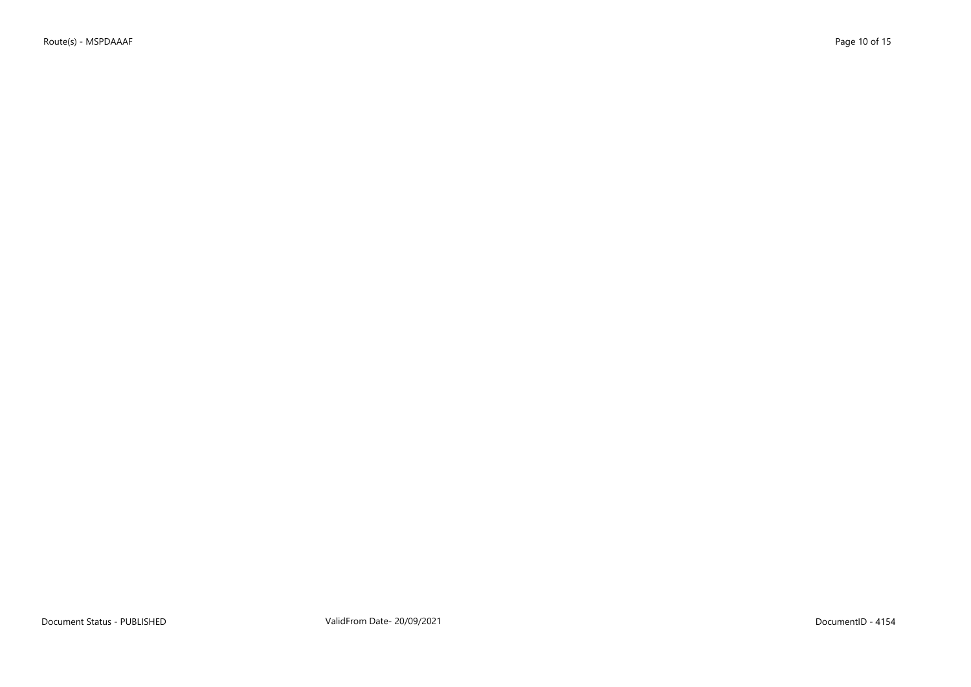Route(s) - MSPDAAAF Page 10 of 15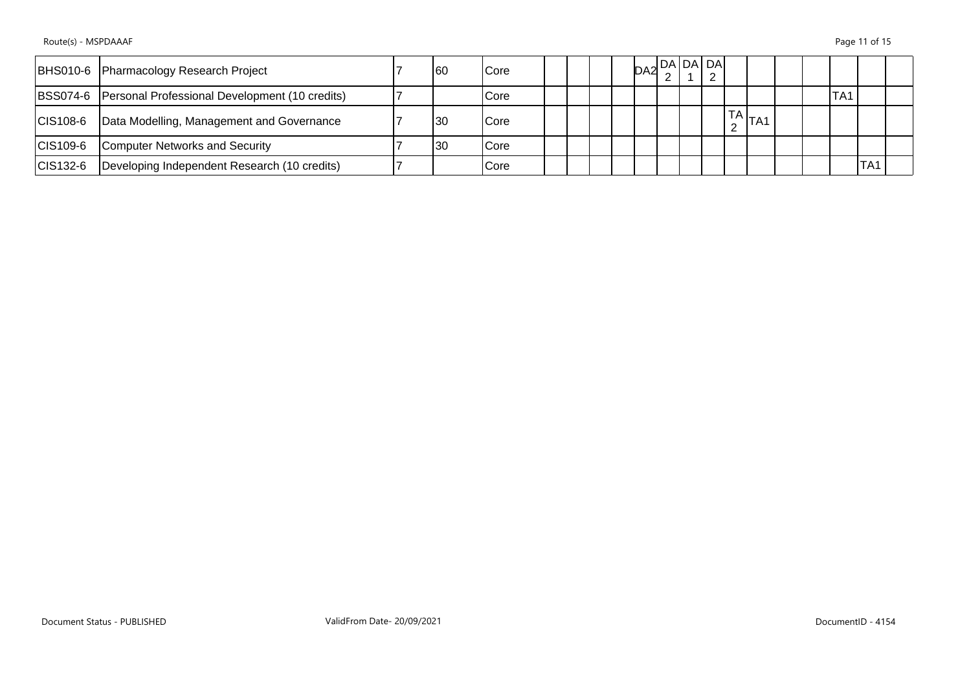|                 | BHS010-6 Pharmacology Research Project                    | 160 | <b>Core</b>  |  |  | $\Delta$ <sub>2</sub> DA DA DA |  |  |                      |  |      |             |  |
|-----------------|-----------------------------------------------------------|-----|--------------|--|--|--------------------------------|--|--|----------------------|--|------|-------------|--|
|                 | BSS074-6   Personal Professional Development (10 credits) |     | <b>ICore</b> |  |  |                                |  |  |                      |  | ITA1 |             |  |
| <b>CIS108-6</b> | Data Modelling, Management and Governance                 | 30  | <b>Core</b>  |  |  |                                |  |  | $T_A$ <sub>TA1</sub> |  |      |             |  |
| CIS109-6        | Computer Networks and Security                            | 130 | <b>ICore</b> |  |  |                                |  |  |                      |  |      |             |  |
| CIS132-6        | Developing Independent Research (10 credits)              |     | <b>ICore</b> |  |  |                                |  |  |                      |  |      | <b>'TA1</b> |  |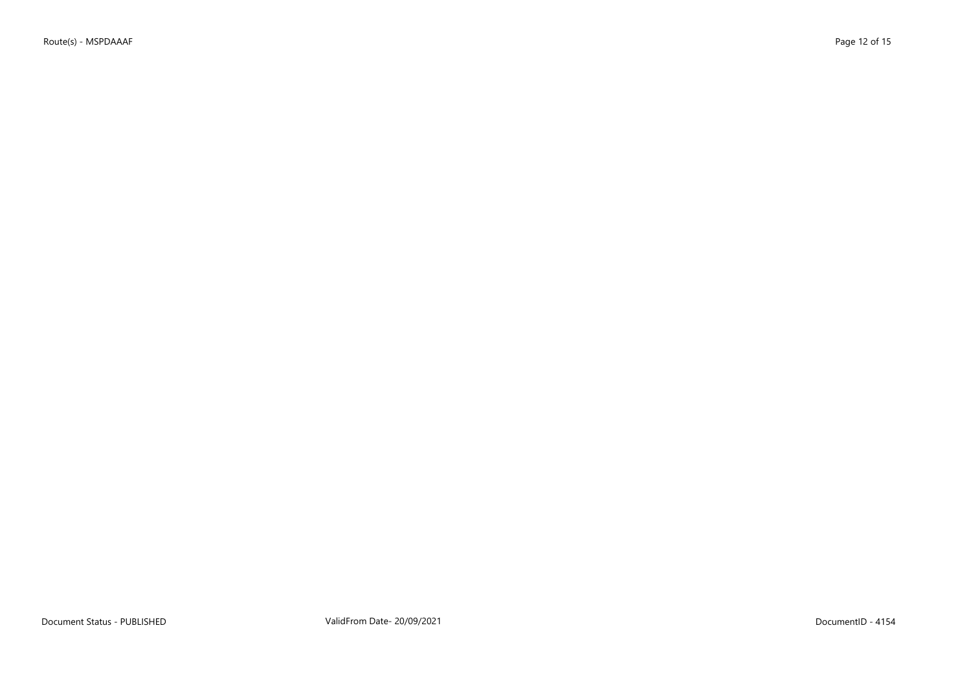Route(s) - MSPDAAAF Page 12 of 15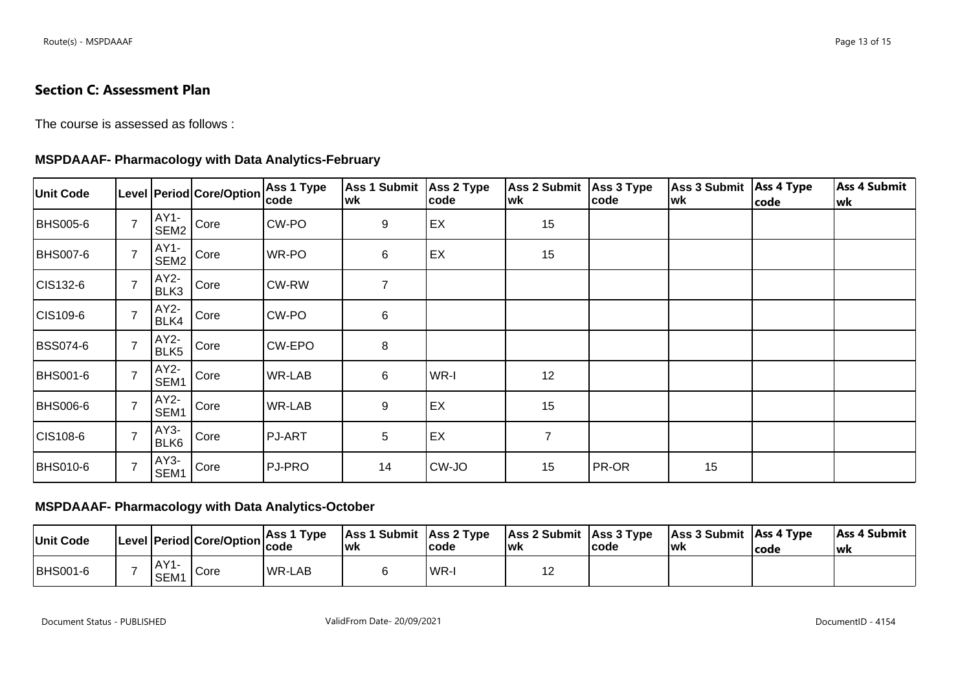## **Section C: Assessment Plan**

The course is assessed as follows :

### **MSPDAAAF- Pharmacology with Data Analytics-February**

| <b>Unit Code</b> |                |                            | Level Period Core/Option | <b>Ass 1 Type</b><br> code | Ass 1 Submit   Ass 2 Type<br>wk | code  | Ass 2 Submit   Ass 3 Type<br>wk | code  | Ass 3 Submit   Ass 4 Type<br>wk | code | <b>Ass 4 Submit</b><br> wk |
|------------------|----------------|----------------------------|--------------------------|----------------------------|---------------------------------|-------|---------------------------------|-------|---------------------------------|------|----------------------------|
| <b>BHS005-6</b>  | 7              | AY1-<br>SEM <sub>2</sub>   | Core                     | CW-PO                      | 9                               | EX    | 15                              |       |                                 |      |                            |
| <b>BHS007-6</b>  | 7              | $AY1-$<br>SEM <sub>2</sub> | Core                     | WR-PO                      | 6                               | EX    | 15                              |       |                                 |      |                            |
| CIS132-6         | $\overline{7}$ | AY2-<br>BLK3               | Core                     | CW-RW                      | $\overline{7}$                  |       |                                 |       |                                 |      |                            |
| <b>CIS109-6</b>  | 7              | AY2-<br>BLK4               | Core                     | CW-PO                      | 6                               |       |                                 |       |                                 |      |                            |
| <b>BSS074-6</b>  | $\overline{7}$ | AY2-<br>BLK5               | Core                     | CW-EPO                     | 8                               |       |                                 |       |                                 |      |                            |
| BHS001-6         | $\overline{7}$ | $AY2-$<br>SEM1             | Core                     | <b>WR-LAB</b>              | 6                               | WR-I  | 12                              |       |                                 |      |                            |
| <b>BHS006-6</b>  | 7              | AY2-<br>SEM1               | Core                     | WR-LAB                     | 9                               | EX    | 15                              |       |                                 |      |                            |
| <b>CIS108-6</b>  | $\overline{7}$ | AY3-<br>BLK6               | Core                     | <b>PJ-ART</b>              | 5                               | EX    | $\overline{7}$                  |       |                                 |      |                            |
| BHS010-6         | 7              | AY3-<br>SEM1               | Core                     | PJ-PRO                     | 14                              | CW-JO | 15                              | PR-OR | 15                              |      |                            |

#### **MSPDAAAF- Pharmacology with Data Analytics-October**

| <b>Unit Code</b> |                              | Level Period Core/Option | Ass 1 Type<br>'code | Ass 1 Submit Ass 2 Type<br>lwk | lcode | Ass 2 Submit Ass 3 Type<br>lwk | lcode | Ass 3 Submit Ass 4 Type<br><u>'wk</u> | lcode | <b>Ass 4 Submit</b><br> wk |
|------------------|------------------------------|--------------------------|---------------------|--------------------------------|-------|--------------------------------|-------|---------------------------------------|-------|----------------------------|
| <b>BHS001-6</b>  | AY1<br>.<br>SEM <sub>1</sub> | Core                     | WR-LAB              |                                | WR-   |                                |       |                                       |       |                            |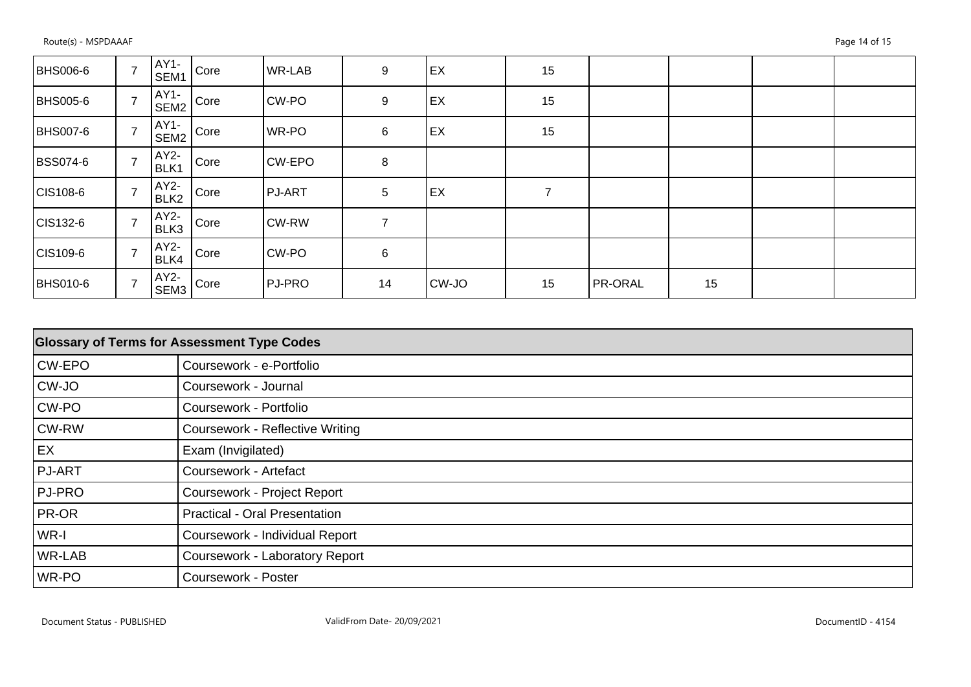| <b>BHS006-6</b> | $\overline{ }$           | AY1-<br>SEM <sub>1</sub>   | Core         | <b>WR-LAB</b> | 9              | EX    | 15 |                |    |  |
|-----------------|--------------------------|----------------------------|--------------|---------------|----------------|-------|----|----------------|----|--|
| <b>BHS005-6</b> | ⇁                        | $AY1-$<br>SEM <sub>2</sub> | Core         | CW-PO         | 9              | EX    | 15 |                |    |  |
| <b>BHS007-6</b> | ⇁                        | AY1-                       | $ISEM2$ Core | WR-PO         | 6              | EX    | 15 |                |    |  |
| <b>BSS074-6</b> | 7                        | AY2-<br>BLK1               | Core         | CW-EPO        | 8              |       |    |                |    |  |
| <b>CIS108-6</b> | $\overline{ }$           | AY2-<br>BLK <sub>2</sub>   | Core         | <b>PJ-ART</b> | 5              | EX    | 7  |                |    |  |
| CIS132-6        | $\overline{\phantom{a}}$ | $AY2-$<br>BLK3             | Core         | <b>CW-RW</b>  | $\overline{7}$ |       |    |                |    |  |
| CIS109-6        | $\overline{\phantom{a}}$ | $AY2-$<br>BLK4             | Core         | CW-PO         | 6              |       |    |                |    |  |
| <b>BHS010-6</b> | 7                        | $AY2-$<br>SEM <sub>3</sub> | Core         | PJ-PRO        | 14             | CW-JO | 15 | <b>PR-ORAL</b> | 15 |  |

| <b>Glossary of Terms for Assessment Type Codes</b> |                                        |  |  |  |  |
|----------------------------------------------------|----------------------------------------|--|--|--|--|
| <b>CW-EPO</b>                                      | Coursework - e-Portfolio               |  |  |  |  |
| CW-JO                                              | Coursework - Journal                   |  |  |  |  |
| CW-PO                                              | Coursework - Portfolio                 |  |  |  |  |
| CW-RW                                              | <b>Coursework - Reflective Writing</b> |  |  |  |  |
| EX                                                 | Exam (Invigilated)                     |  |  |  |  |
| <b>PJ-ART</b>                                      | Coursework - Artefact                  |  |  |  |  |
| PJ-PRO                                             | Coursework - Project Report            |  |  |  |  |
| PR-OR                                              | <b>Practical - Oral Presentation</b>   |  |  |  |  |
| WR-I                                               | Coursework - Individual Report         |  |  |  |  |
| <b>WR-LAB</b>                                      | Coursework - Laboratory Report         |  |  |  |  |
| WR-PO                                              | Coursework - Poster                    |  |  |  |  |